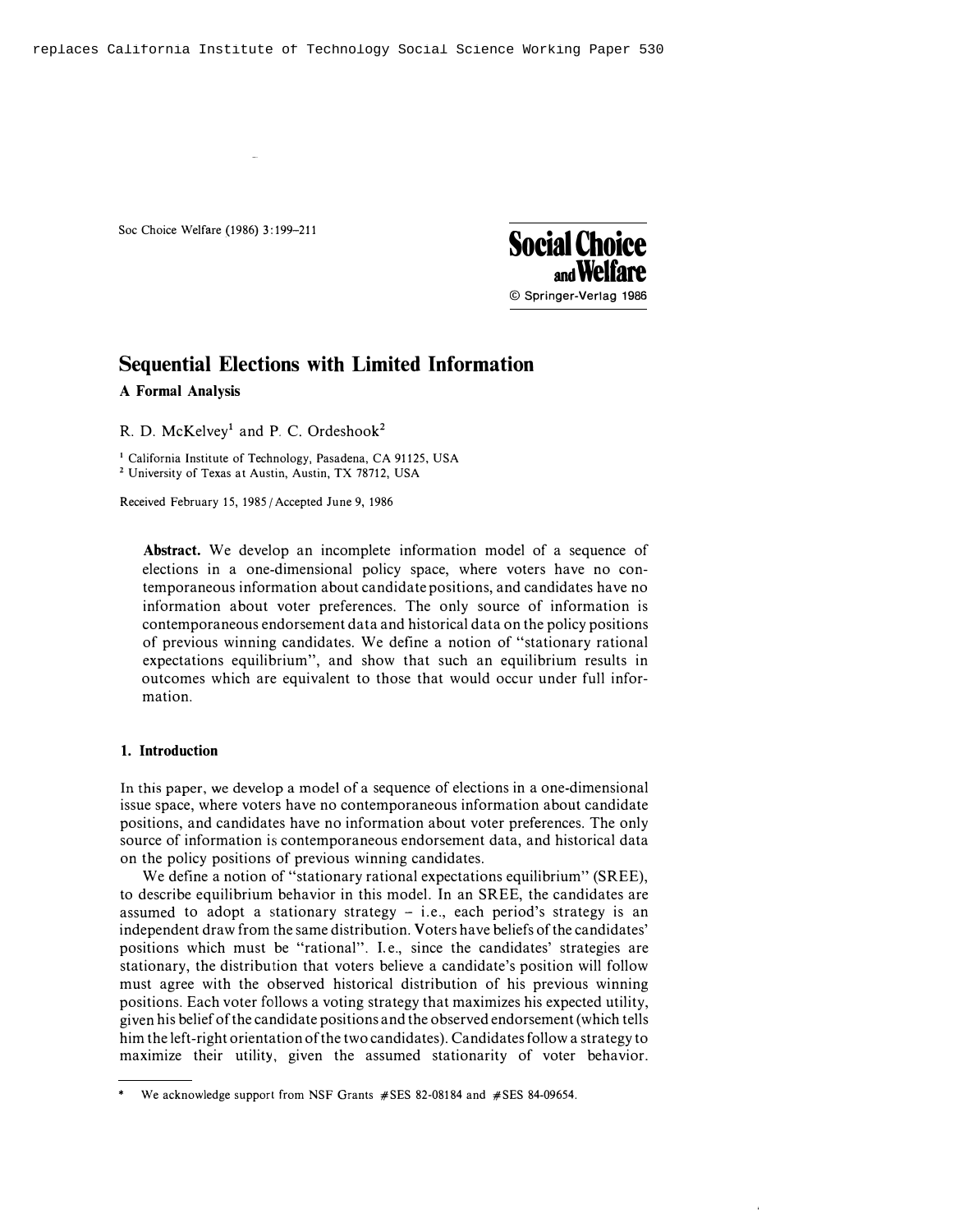

# Sequential Elections with Limited Information

A Formal Analysis

R. D. McKelvey<sup>1</sup> and P. C. Ordeshook<sup>2</sup>

<sup>1</sup> California Institute of Technology, Pasadena, CA 91125, USA <sup>2</sup> University of Texas at Austin, Austin, TX 78712, USA

Received February 15, 1985 /Accepted June 9, 1986

Abstract. We develop an incomplete information model of a sequence of elections in a one-dimensional policy space, where voters have no contemporaneous information about candidate positions, and candidates have no information about voter preferences. The only source of information is contemporaneous endorsement data and historical data on the policy positions of previous winning candidates. We define a notion of "stationary rational expectations equilibrium", and show that such an equilibrium results in outcomes which are equivalent to those that would occur under full information.

## 1. Introduction

In this paper, we develop a model of a sequence of elections in a one-dimensional issue space, where voters have no contemporaneous information about candidate positions, and candidates have no information about voter preferences. The only source of information is contemporaneous endorsement data, and historical data on the policy positions of previous winning candidates.

We define a notion of "stationary rational expectations equilibrium" (SREE), to describe equilibrium behavior in this model. In an SREE, the candidates are assumed to adopt a stationary strategy  $-$  i.e., each period's strategy is an independent draw from the same distribution. Voters have beliefs of the candidates' positions which must be "rational". I.e., since the candidates' strategies are stationary, the distribution that voters believe a candidate's position will follow must agree with the observed historical distribution of his previous winning positions. Each voter follows a voting strategy that maximizes his expected utility, given his belief of the candidate positions and the observed endorsement (which tells him the left-right orientation of the two candidates). Candidates follow a strategy to maximize their utility, given the assumed stationarity of voter behavior.

<sup>\*</sup> We acknowledge support from NSF Grants #SES 82-08184 and #SES 84-09654.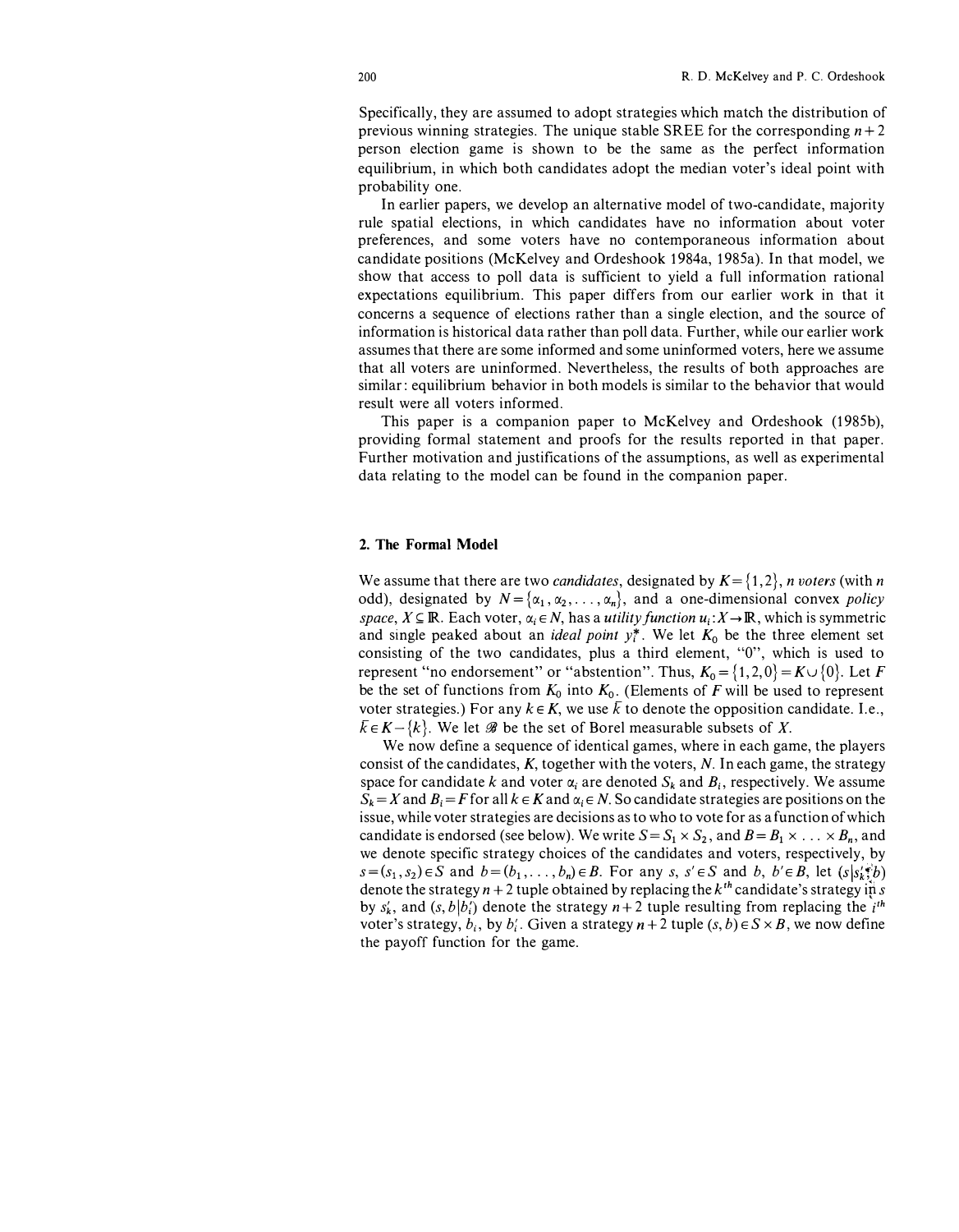Specifically, they are assumed to adopt strategies which match the distribution of previous winning strategies. The unique stable SREE for the corresponding  $n + 2$ person election game is shown to be the same as the perfect information equilibrium, in which both candidates adopt the median voter's ideal point with probability one.

In earlier papers, we develop an alternative model of two-candidate, majority rule spatial elections, in which candidates have no information about voter preferences, and some voters have no contemporaneous information about candidate positions (McKelvey and Ordeshook 1984a, 1985a). In that model, we show that access to poll data is sufficient to yield a full information rational expectations equilibrium. This paper differs from our earlier work in that it concerns a sequence of elections rather than a single election, and the source of information is historical data rather than poll data. Further, while our earlier work assumes that there are some informed and some uninformed voters, here we assume that all voters are uninformed. Nevertheless, the results of both approaches are similar: equilibrium behavior in both models is similar to the behavior that would result were all voters informed.

This paper is a companion paper to McKelvey and Ordeshook (1985b), providing formal statement and proofs for the results reported in that paper. Further motivation and justifications of the assumptions, as well as experimental data relating to the model can be found in the companion paper.

#### 2. The Formal Model

We assume that there are two *candidates*, designated by  $K = \{1, 2\}$ , *n voters* (with *n* odd), designated by  $N = {\alpha_1, \alpha_2, \dots, \alpha_n}$ , and a one-dimensional convex *policy* space,  $X \subseteq \mathbb{R}$ . Each voter,  $\alpha_i \in N$ , has a *utility function*  $u_i: X \to \mathbb{R}$ , which is symmetric and single peaked about an *ideal point*  $y_i^*$ . We let  $K_0$  be the three element set consisting of the two candidates, plus a third element, "O", which is used to represent "no endorsement" or "abstention". Thus,  $K_0 = \{1, 2, 0\} = K \cup \{0\}$ . Let F be the set of functions from  $K_0$  into  $K_0$ . (Elements of F will be used to represent voter strategies.) For any  $k \in K$ , we use  $\overline{k}$  to denote the opposition candidate. I.e.,  $\bar{k} \in K - \{k\}$ . We let  $\mathscr B$  be the set of Borel measurable subsets of X.

We now define a sequence of identical games, where in each game, the players consist of the candidates,  $K$ , together with the voters,  $N$ . In each game, the strategy space for candidate k and voter  $\alpha_i$  are denoted  $S_k$  and  $B_i$ , respectively. We assume  $S_k = X$  and  $B_i = F$  for all  $k \in K$  and  $\alpha_i \in N$ . So candidate strategies are positions on the issue, while voter strategies are decisions as to who to vote for as a function of which candidate is endorsed (see below). We write  $S = S_1 \times S_2$ , and  $B = B_1 \times \ldots \times B_n$ , and we denote specific strategy choices of the candidates and voters, respectively, by  $s=(s_1, s_2)\in S$  and  $b=(b_1, \ldots, b_n)\in B$ . For any  $s, s'\in S$  and  $b, b'\in B$ , let  $(s|s'\cdot b')$ denote the strategy  $n + 2$  tuple obtained by replacing the  $k<sup>th</sup>$  candidate's strategy in s by  $s'_k$ , and  $(s, b|b'_i)$  denote the strategy  $n+2$  tuple resulting from replacing the i<sup>th</sup> voter's strategy,  $b_i$ , by  $b'_i$ . Given a strategy  $n + 2$  tuple  $(s, b) \in S \times B$ , we now define the payoff function for the game.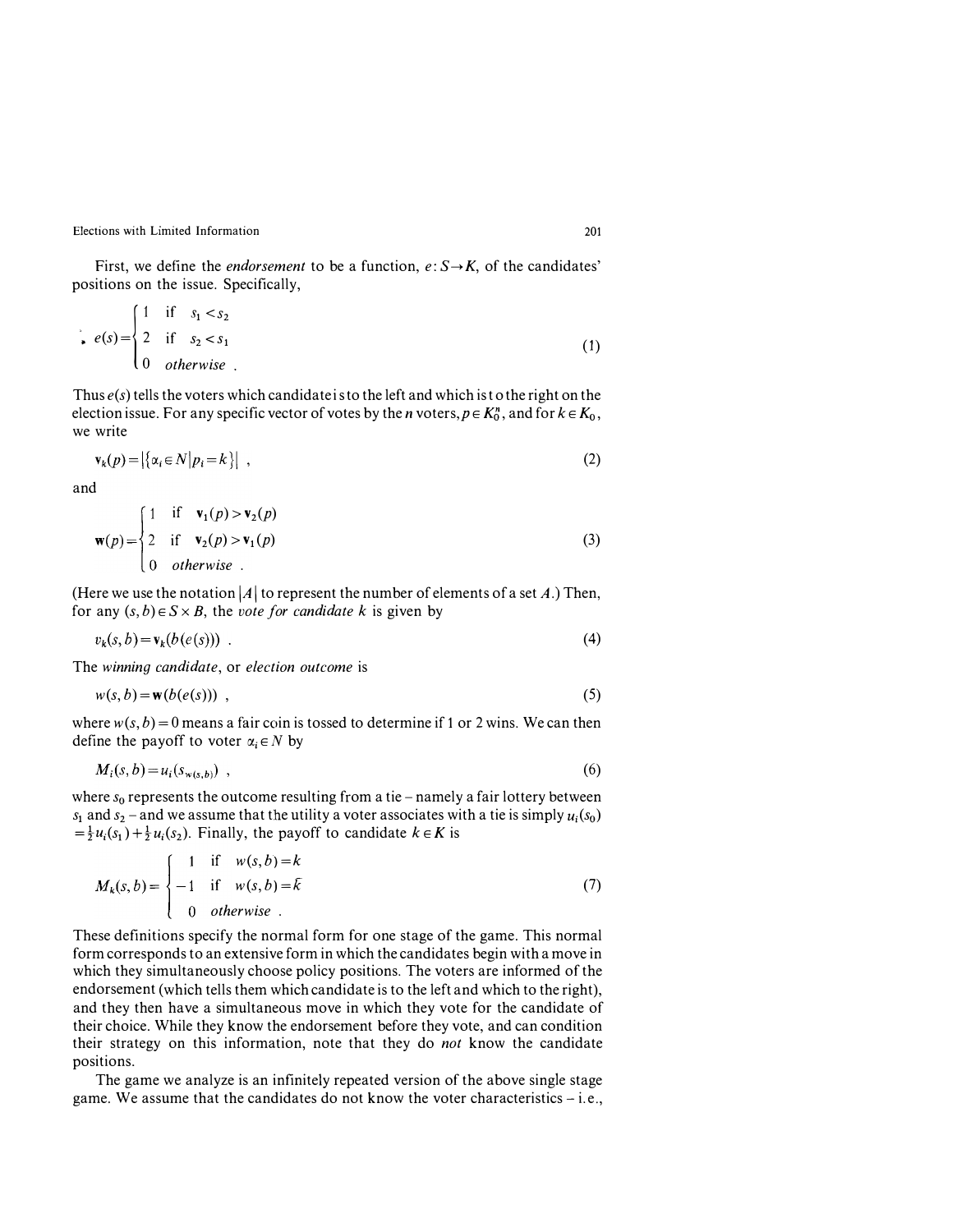First, we define the *endorsement* to be a function,  $e: S \rightarrow K$ , of the candidates' positions on the issue. Specifically, we define the *e*<br>on the issue. S<sub>1</sub><br> $\begin{cases} 1 & \text{if } s_1 < s_2 \end{cases}$ 

$$
e(s) = \begin{cases} 1 & \text{if } s_1 < s_2 \\ 2 & \text{if } s_2 < s_1 \\ 0 & \text{otherwise} \end{cases}
$$
 (1)

Thus  $e(s)$  tells the voters which candidate is to the left and which is to the right on the election issue. For any specific vector of votes by the *n* voters,  $p \in K_0^n$ , and for  $k \in K_0$ , we write

$$
\mathbf{v}_k(p) = \left| \{ \alpha_i \in N \middle| p_i = k \} \right| \tag{2}
$$

and

$$
\mathbf{w}(p) = \begin{cases} 1 & \text{if } \mathbf{v}_1(p) > \mathbf{v}_2(p) \\ 2 & \text{if } \mathbf{v}_2(p) > \mathbf{v}_1(p) \\ 0 & otherwise \end{cases}
$$
 (3)

(Here we use the notation |A| to represent the number of elements of a set A.) Then, for any  $(s, b) \in S \times B$ , the vote for candidate k is given by

$$
v_k(s,b) = \mathbf{v}_k(b(e(s))) \tag{4}
$$

The winning candidate, or election outcome is

$$
w(s, b) = \mathbf{w}(b(e(s))) \tag{5}
$$

where  $w(s, b) = 0$  means a fair coin is tossed to determine if 1 or 2 wins. We can then define the payoff to voter  $\alpha_i \in N$  by

$$
M_i(s,b) = u_i(s_{w(s,b)}) \tag{6}
$$

where  $s_0$  represents the outcome resulting from a tie - namely a fair lottery between  $s_1$  and  $s_2$  - and we assume that the utility a voter associates with a tie is simply  $u_i(s_0)$  $=\frac{1}{2}u_i(s_1) + \frac{1}{2}u_i(s_2)$ . Finally, the payoff to candidate  $k \in K$  is

$$
M_k(s,b) = \begin{cases} 1 & \text{if } w(s,b) = k \\ -1 & \text{if } w(s,b) = \overline{k} \\ 0 & \text{otherwise} \end{cases}
$$
(7)

These definitions specify the normal form for one stage of the game. This normal form corresponds to an extensive form in which the candidates begin with a move in which they simultaneously choose policy positions. The voters are informed of the endorsement (which tells them which candidate is to the left and which to the right), and they then have a simultaneous move in which they vote for the candidate of their choice. While they know the endorsement before they vote, and can condition their strategy on this information, note that they do not know the candidate positions.

The game we analyze is an infinitely repeated version of the above single stage game. We assume that the candidates do not know the voter characteristics  $-$  i.e.,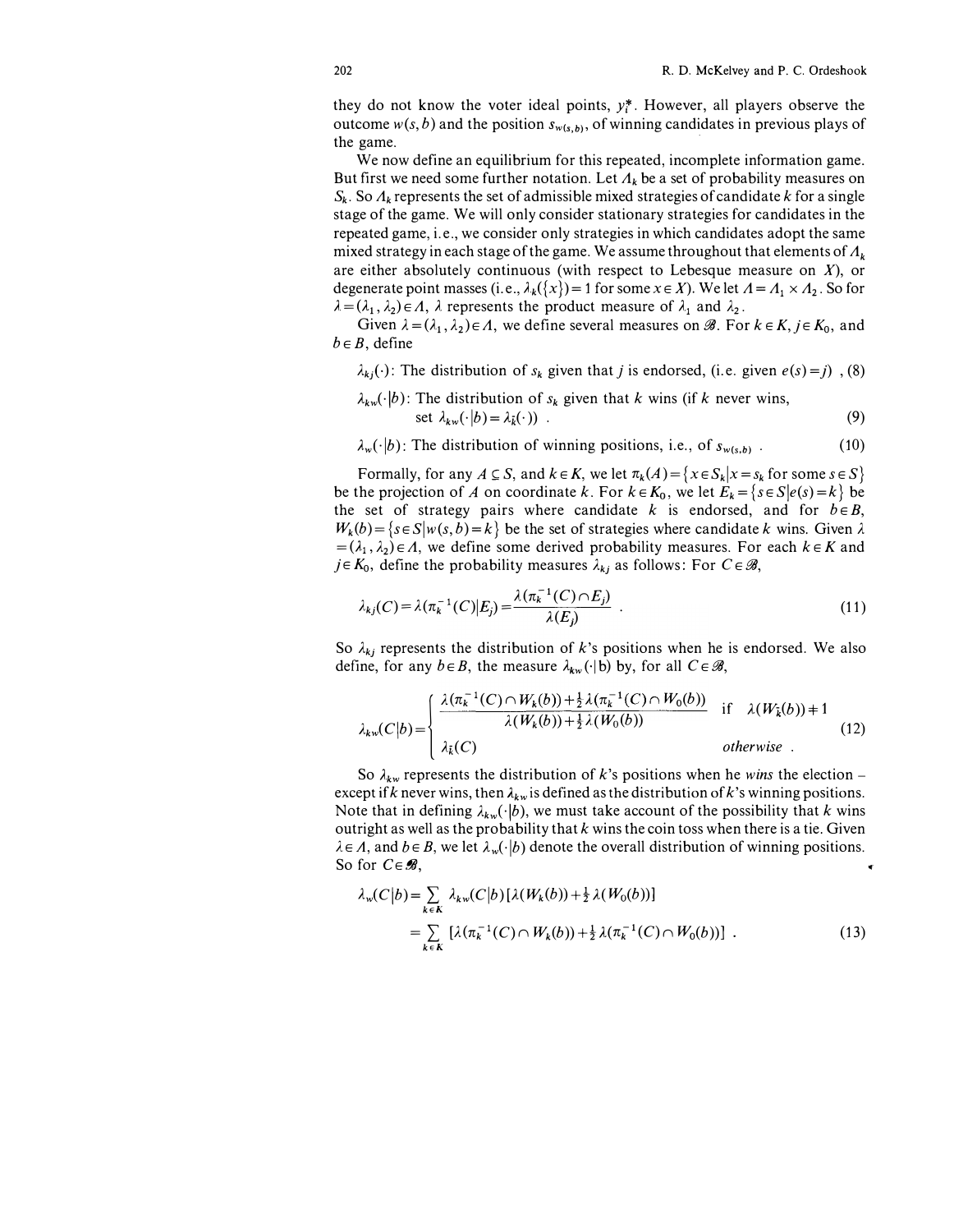they do not know the voter ideal points,  $y_i^*$ . However, all players observe the outcome  $w(s, b)$  and the position  $s_{w(s, b)}$ , of winning candidates in previous plays of the game. ·

We now define an equilibrium for this repeated, incomplete information game. But first we need some further notation. Let  $\Lambda_k$  be a set of probability measures on  $S_k$ . So  $\Lambda_k$  represents the set of admissible mixed strategies of candidate k for a single stage of the game. We will only consider stationary strategies for candidates in the repeated game, i. e., we consider only strategies in which candidates adopt the same mixed strategy in each stage of the game. We assume throughout that elements of  $\Lambda_k$ are either absolutely continuous (with respect to Lebesque measure on  $X$ ), or degenerate point masses (i.e.,  $\lambda_k({x}) = 1$  for some  $x \in X$ ). We let  $A = A_1 \times A_2$ . So for  $\lambda = (\lambda_1, \lambda_2) \in \Lambda$ ,  $\lambda$  represents the product measure of  $\lambda_1$  and  $\lambda_2$ .

Given  $\lambda = (\lambda_1, \lambda_2) \in \Lambda$ , we define several measures on  $\mathscr{B}$ . For  $k \in K$ ,  $j \in K_0$ , and  $b \in B$ , define

 $\lambda_{kj}(\cdot)$ : The distribution of  $s_k$  given that j is endorsed, (i.e. given  $e(s) = j$ ), (8)

$$
\lambda_{kw}(\cdot|b): \text{ The distribution of } s_k \text{ given that } k \text{ wins (if } k \text{ never wins, set } \lambda_{kw}(\cdot|b) = \lambda_{\bar{k}}(\cdot)) \tag{9}
$$

 $\lambda_w(\cdot|b)$ : The distribution of winning positions, i.e., of  $s_{w(s,b)}$ . (10)

Formally, for any  $A \subseteq S$ , and  $k \in K$ , we let  $\pi_k(A) = \{x \in S_k | x = s_k \text{ for some } s \in S\}$ be the projection of A on coordinate k. For  $k \in K_0$ , we let  $E_k = \{s \in S | e(s) = k \}$  be the set of strategy pairs where candidate k is endorsed, and for  $b \in B$ ,  $W_k(b) = \{s \in S | w(s, b) = k\}$  be the set of strategies where candidate k wins. Given  $\lambda$  $=(\lambda_1, \lambda_2) \in \Lambda$ , we define some derived probability measures. For each  $k \in K$  and  $j \in K_0$ , define the probability measures  $\lambda_{kj}$  as follows: For  $C \in \mathcal{B}$ ,

$$
\lambda_{kj}(C) = \lambda(\pi_k^{-1}(C)|E_j) = \frac{\lambda(\pi_k^{-1}(C) \cap E_j)}{\lambda(E_j)} \tag{11}
$$

So  $\lambda_{kj}$  represents the distribution of k's positions when he is endorsed. We also define, for any  $b \in B$ , the measure  $\lambda_{kw}(\cdot|b)$  by, for all  $C \in \mathcal{B}$ ,<br>  $\left( \lambda(\pi_k^{-1}(C) \cap W_k(b)) + \frac{1}{2}\lambda(\pi_k^{-1}(C) \cap W_0(b)) \right)$  if  $\left( \lambda(W_2$ define, for any  $b \in B$ , the measure  $\lambda_{kw}(\cdot | b)$  by, for all  $C \in \mathcal{B}$ ,

$$
\lambda_{kw}(C|b) = \begin{cases}\n\frac{\lambda(\pi_k^{-1}(C) \cap W_k(b)) + \frac{1}{2}\lambda(\pi_k^{-1}(C) \cap W_0(b))}{\lambda(W_k(b)) + \frac{1}{2}\lambda(W_0(b))} & \text{if } \lambda(W_k(b)) + 1 \\
\lambda_k(C) & \text{otherwise}\n\end{cases}
$$
\n(12)

So  $\lambda_{kw}$  represents the distribution of k's positions when he wins the election – except if k never wins, then  $\lambda_{kw}$  is defined as the distribution of k's winning positions. Note that in defining  $\lambda_{kw}(\cdot|b)$ , we must take account of the possibility that k wins outright as well as the probability that  $k$  wins the coin toss when there is a tie. Given  $\lambda \in \Lambda$ , and  $b \in B$ , we let  $\lambda_w(\cdot|b)$  denote the overall distribution of winning positions. So for  $C \in \mathcal{B}$ ,

$$
\lambda_{w}(C|b) = \sum_{k \in K} \lambda_{kw}(C|b) [\lambda(W_{k}(b)) + \frac{1}{2} \lambda(W_{0}(b))]
$$
  
= 
$$
\sum_{k \in K} [\lambda(\pi_{k}^{-1}(C) \cap W_{k}(b)) + \frac{1}{2} \lambda(\pi_{k}^{-1}(C) \cap W_{0}(b))].
$$
 (13)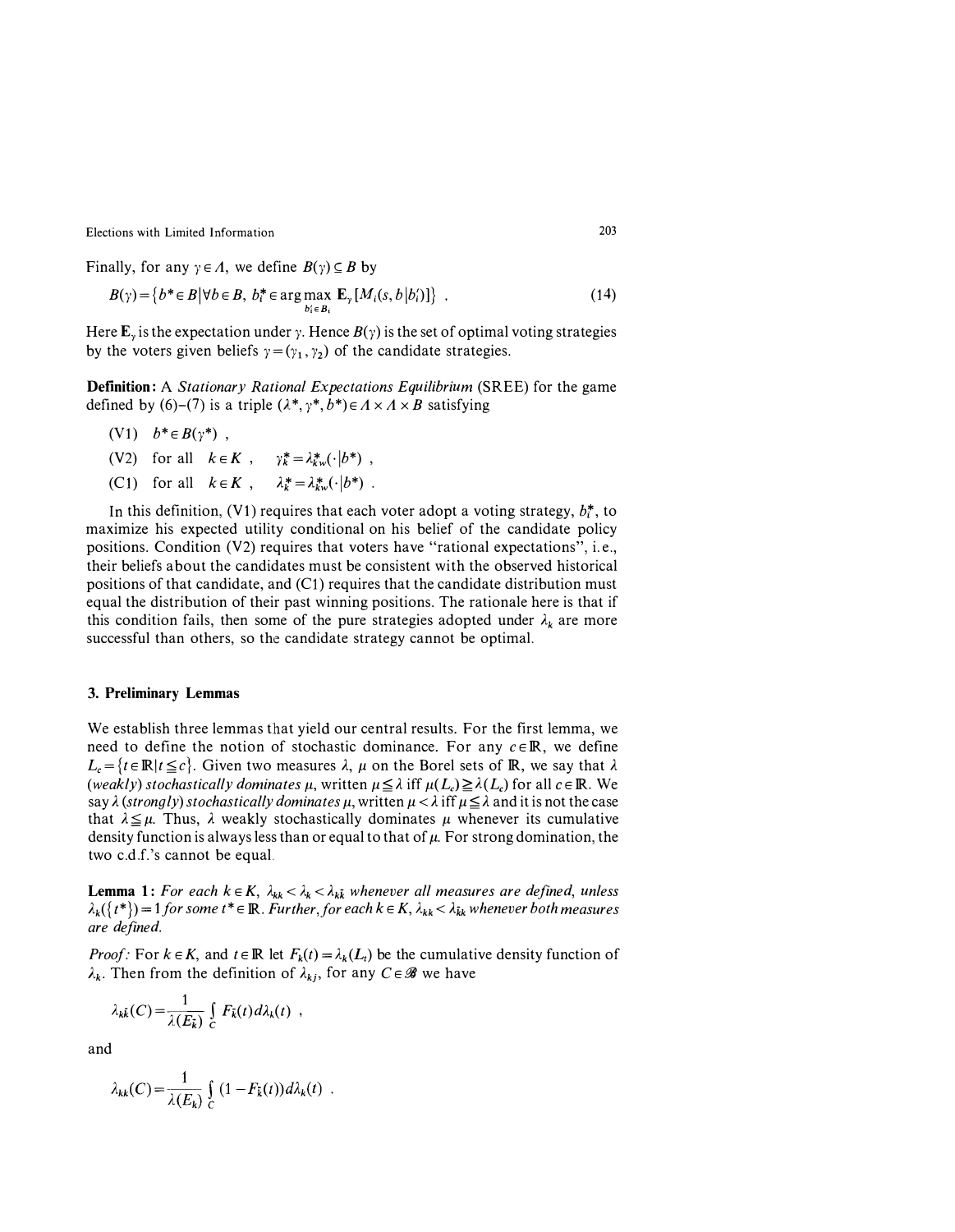Finally, for any  $\gamma \in \Lambda$ , we define  $B(\gamma) \subseteq B$  by

$$
B(\gamma) = \{b^* \in B | \forall b \in B, \ b_i^* \in \arg\max_{b_i \in B_i} \mathbf{E}_{\gamma}[M_i(s, b | b_i')] \} \tag{14}
$$

Here  $\mathbf{E}_{\nu}$  is the expectation under y. Hence  $B(\gamma)$  is the set of optimal voting strategies by the voters given beliefs  $\gamma = (\gamma_1, \gamma_2)$  of the candidate strategies.

Definition: A Stationary Rational Expectations Equilibrium (SREE) for the game defined by (6)–(7) is a triple  $(\lambda^*, \gamma^*, b^*) \in A \times A \times B$  satisfying

- (V1)  $b^* \in B(\gamma^*)$ ,
- (V2) for all  $k \in K$ ,  $\gamma_k^* = \lambda_{kw}^*(\cdot | b^*)$ , (C1) for all  $k \in K$ ,  $\lambda_k^* = \lambda_{kw}^* (\cdot | b^*)$ .

In this definition, (V1) requires that each voter adopt a voting strategy,  $b_i^*$ , to maximize his expected utility conditional on his belief of the candidate policy positions. Condition (V2) requires that voters have "rational expectations", i. e., their beliefs about the candidates must be consistent with the observed historical positions of that candidate, and  $(C1)$  requires that the candidate distribution must equal the distribution of their past winning positions. The rationale here is that if this condition fails, then some of the pure strategies adopted under  $\lambda_k$  are more successful than others, so the candidate strategy cannot be optimal.

#### 3. Preliminary Lemmas

We establish three lemmas that yield our central results. For the first lemma, we need to define the notion of stochastic dominance. For any  $c \in \mathbb{R}$ , we define  $L_c = {t \in \mathbb{R} | t \leq c}$ . Given two measures  $\lambda$ ,  $\mu$  on the Borel sets of  $\mathbb{R}$ , we say that  $\lambda$ (weakly) stochastically dominates  $\mu$ , written  $\mu \leq \lambda$  iff  $\mu(L_c) \geq \lambda(L_c)$  for all  $c \in \mathbb{R}$ . We say  $\lambda$  (strongly) stochastically dominates  $\mu$ , written  $\mu < \lambda$  iff  $\mu \leq \lambda$  and it is not the case that  $\lambda \leq \mu$ . Thus,  $\lambda$  weakly stochastically dominates  $\mu$  whenever its cumulative density function is always less than or equal to that of  $\mu$ . For strong domination, the two c.d.f.' s cannot be equal.

**Lemma 1:** For each  $k \in K$ ,  $\lambda_{kk} < \lambda_k < \lambda_k$  whenever all measures are defined, unless  $\lambda_k({t^*}) = 1$  for some  $t^* \in \mathbb{R}$ . Further, for each  $k \in K$ ,  $\lambda_{kk} < \lambda_{kk}$  whenever both measures are defined.

*Proof:* For  $k \in K$ , and  $t \in \mathbb{R}$  let  $F_k(t) = \lambda_k(L_t)$  be the cumulative density function of  $\lambda_k$ . Then from the definition of  $\lambda_{ki}$ , for any  $C \in \mathscr{B}$  we have

$$
\lambda_{k\bar{k}}(C) = \frac{1}{\lambda(E_{\bar{k}})} \int_{C} F_{\bar{k}}(t) d\lambda_{k}(t) ,
$$

and

$$
\lambda_{kk}(C) = \frac{1}{\lambda(E_k)} \int_C (1 - F_k(t)) d\lambda_k(t) .
$$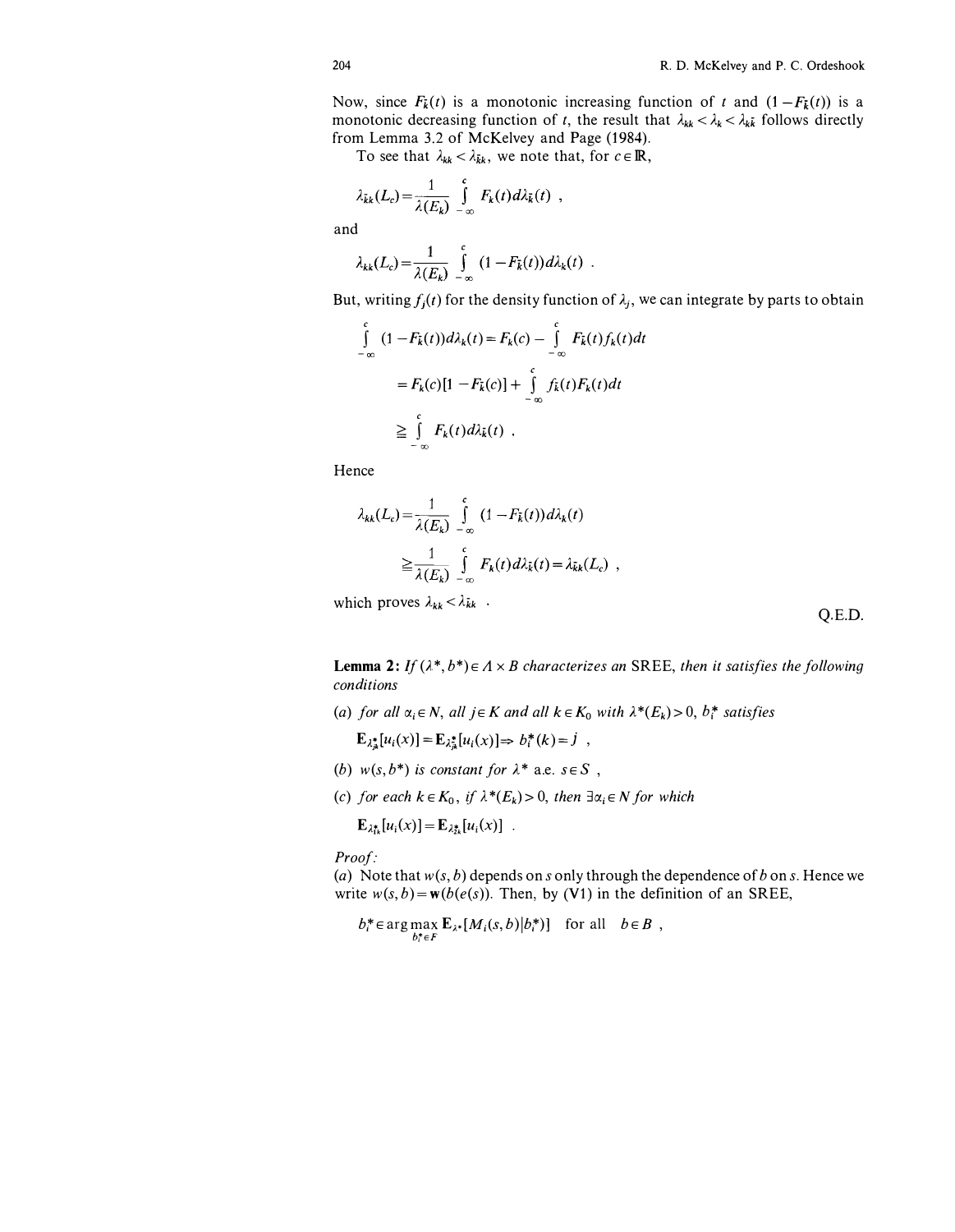Now, since  $F_{\vec{k}}(t)$  is a monotonic increasing function of t and  $(1 - F_{\vec{k}}(t))$  is a monotonic decreasing function of t, the result that  $\lambda_{kk} < \lambda_k < \lambda_k$  follows directly from Lemma 3.2 of McKelvey and Page (1984).

To see that  $\lambda_{kk} < \lambda_{kk}$ , we note that, for  $c \in \mathbb{R}$ ,

$$
\lambda_{\bar{k}k}(L_c) = \frac{1}{\lambda(E_k)} \int_{-\infty}^{c} F_k(t) d\lambda_{\bar{k}}(t) ,
$$

and

$$
\lambda_{kk}(L_c) = \frac{1}{\lambda(E_k)} \int_{-\infty}^{c} (1 - F_{\bar{k}}(t)) d\lambda_k(t) .
$$

But, writing  $f_j(t)$  for the density function of  $\lambda_j$ , we can integrate by parts to obtain

$$
\int_{-\infty}^{c} (1 - F_k(t)) d\lambda_k(t) = F_k(c) - \int_{-\infty}^{c} F_k(t) f_k(t) dt
$$
\n
$$
= F_k(c) [1 - F_k(c)] + \int_{-\infty}^{c} f_k(t) F_k(t) dt
$$
\n
$$
\geq \int_{-\infty}^{c} F_k(t) d\lambda_k(t) .
$$

Hence

$$
\lambda_{kk}(L_c) = \frac{1}{\lambda(E_k)} \int_{-\infty}^{c} (1 - F_k(t)) d\lambda_k(t)
$$

$$
\geq \frac{1}{\lambda(E_k)} \int_{-\infty}^{c} F_k(t) d\lambda_k(t) = \lambda_{kk}(L_c)
$$

which proves  $\lambda_{kk} < \lambda_{kk}$ .

Q.E.D.

**Lemma 2:** If  $(\lambda^*, b^*) \in A \times B$  characterizes an SREE, then it satisfies the following conditions

(a) for all  $\alpha_i \in N$ , all  $j \in K$  and all  $k \in K_0$  with  $\lambda^*(E_k) > 0$ ,  $b_i^*$  satisfies

 $\mathbf{E}_{\lambda_{ik}^*}[u_i(x)]=\mathbf{E}_{\lambda_{ik}^*}[u_i(x)] \Rightarrow b_i^*(k)=j$ ,

- (b)  $w(s, b^*)$  is constant for  $\lambda^*$  a.e.  $s \in S$ ,
- (c) for each  $k \in K_0$ , if  $\lambda^*(E_k) > 0$ , then  $\exists \alpha_i \in N$  for which

 $\mathbf{E}_{\lambda t} [u_i(x)] = \mathbf{E}_{\lambda t} [u_i(x)]$ .

Proof:

(a) Note that  $w(s, b)$  depends on s only through the dependence of b on s. Hence we write  $w(s, b) = w(b(e(s))$ . Then, by (V1) in the definition of an SREE,

 $b_i^* \in \arg \max_{b_i^* \in F} \mathbf{E}_{\lambda^*}[M_i(s, b)|b_i^*)]$  for all  $b \in B$ ,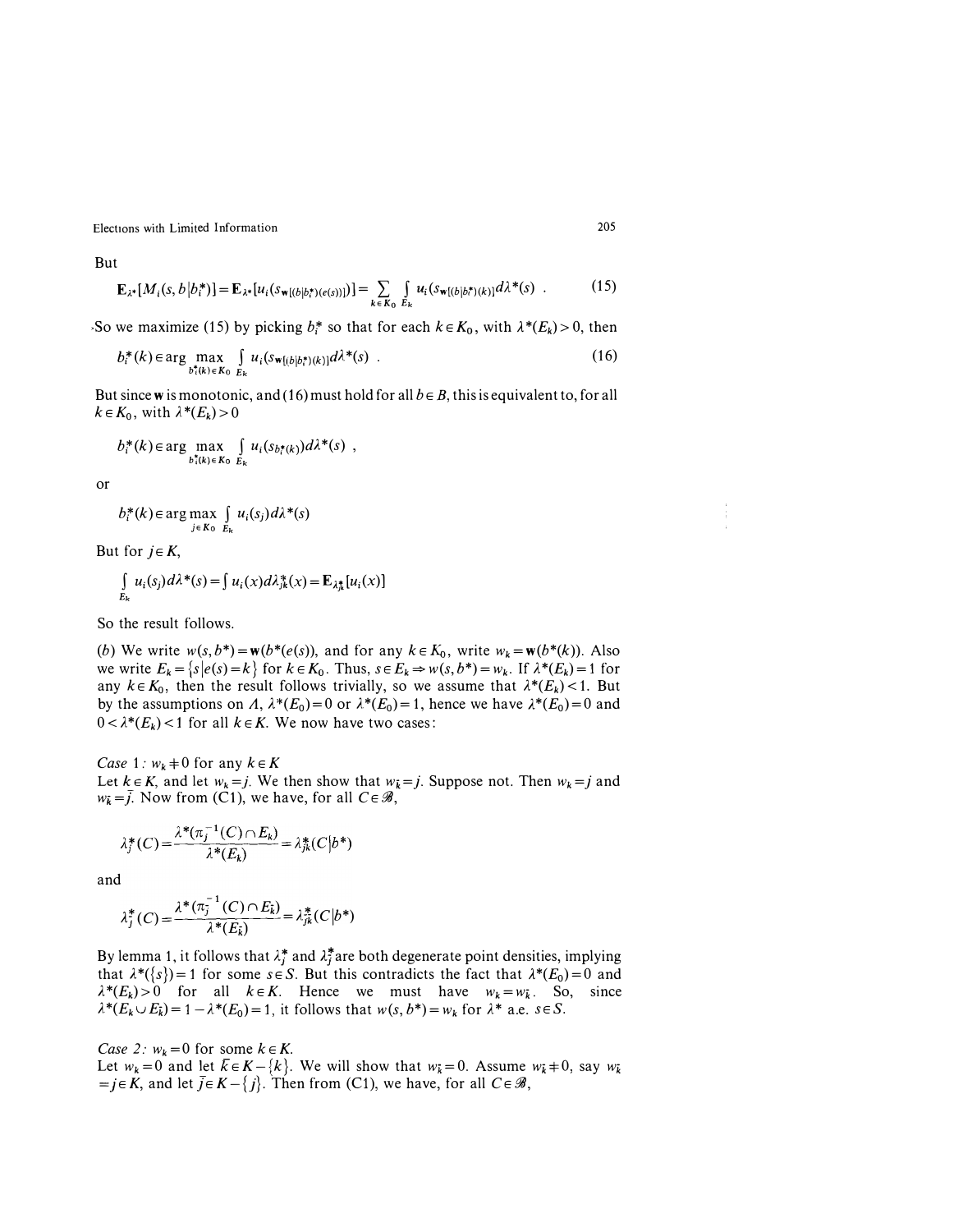But

$$
\mathbf{E}_{\lambda^*}[M_i(s,b|b_i^*)] = \mathbf{E}_{\lambda^*}[u_i(s_{\mathbf{w}[(b|b_i^*) (e(s))]})] = \sum_{k \in K_0} \int_{E_k} u_i(s_{\mathbf{w}[(b|b_i^*) (k))} d\lambda^*(s) .
$$
 (15)

So we maximize (15) by picking  $b_i^*$  so that for each  $k \in K_0$ , with  $\lambda^*(E_k) > 0$ , then

$$
b_i^*(k) \in \arg\max_{b_i^*(k) \in K_0} \int_{E_k} u_i(s_{\mathbf{w}[(b|b_i^*)(k)]} d\lambda^*(s) \tag{16}
$$

But since w is monotonic, and (16) must hold for all  $b \in B$ , this is equivalent to, for all  $k \in K_0$ , with  $\lambda^*(E_k) > 0$ 

$$
b_i^*(k) \in \arg \max_{b_i^*(k) \in K_0} \int_{E_k} u_i(s_{b_i^*(k)}) d\lambda^*(s) ,
$$

or

 $b_i^*(k) \in \arg\max_{j \in K_0} \int_{E_k} u_i(s_j) d\lambda^*(s)$ 

But for  $i \in K$ ,

$$
\int_{E_k} u_i(s_j) d\lambda^*(s) = \int u_i(x) d\lambda^*_{jk}(x) = \mathbf{E}_{\lambda^*_{jk}}[u_i(x)]
$$

So the result follows.

(b) We write  $w(s, b^*) = \mathbf{w}(b^*(e(s)))$ , and for any  $k \in K_0$ , write  $w_k = \mathbf{w}(b^*(k))$ . Also we write  $E_k = \{s \mid e(s) = k\}$  for  $k \in K_0$ . Thus,  $s \in E_k \Rightarrow w(s, b^*) = w_k$ . If  $\lambda^*(E_k) = 1$  for any  $k \in K_0$ , then the result follows trivially, so we assume that  $\lambda^*(E_k)$  < 1. But by the assumptions on A,  $\lambda^*(E_0) = 0$  or  $\lambda^*(E_0) = 1$ , hence we have  $\lambda^*(E_0) = 0$  and  $0 < \lambda^*(E_k) < 1$  for all  $k \in K$ . We now have two cases:

Case 1:  $w_k + 0$  for any  $k \in K$ Let  $k \in K$ , and let  $w_k = j$ . We then show that  $w_k = j$ . Suppose not. Then  $w_k = j$  and  $w_{\bar{k}} = \bar{j}$ . Now from (C1), we have, for all  $C \in \mathcal{B}$ ,

$$
\lambda_j^*(C) = \frac{\lambda^*(\pi_j^{-1}(C) \cap E_k)}{\lambda^*(E_k)} = \lambda_{jk}^*(C|b^*)
$$

and

$$
\lambda_j^*(C) = \frac{\lambda^*(\pi_j^{-1}(C) \cap E_k)}{\lambda^*(E_k)} = \lambda_{jk}^*(C|b^*)
$$

By lemma 1, it follows that  $\lambda_i^*$  and  $\lambda_i^*$  are both degenerate point densities, implying that  $\lambda^*(\{s\}) = 1$  for some  $s \in S$ . But this contradicts the fact that  $\lambda^*(E_0) = 0$  and  $\lambda^*(E_k) > 0$  for all  $k \in K$ . Hence we must have  $w_k = w_k$ . So, since  $\lambda^*(E_k \cup E_k) = 1 - \lambda^*(E_0) = 1$ , it follows that  $w(s, b^*) = w_k$  for  $\lambda^*$  a.e.  $s \in S$ .

Case 2:  $w_k = 0$  for some  $k \in K$ .

Let  $w_k = 0$  and let  $\bar{k} \in K - \{k\}$ . We will show that  $w_k = 0$ . Assume  $w_k \neq 0$ , say  $w_k$  $=j \in K$ , and let  $\bar{j} \in K - \{j\}$ . Then from (C1), we have, for all  $C \in \mathcal{B}$ ,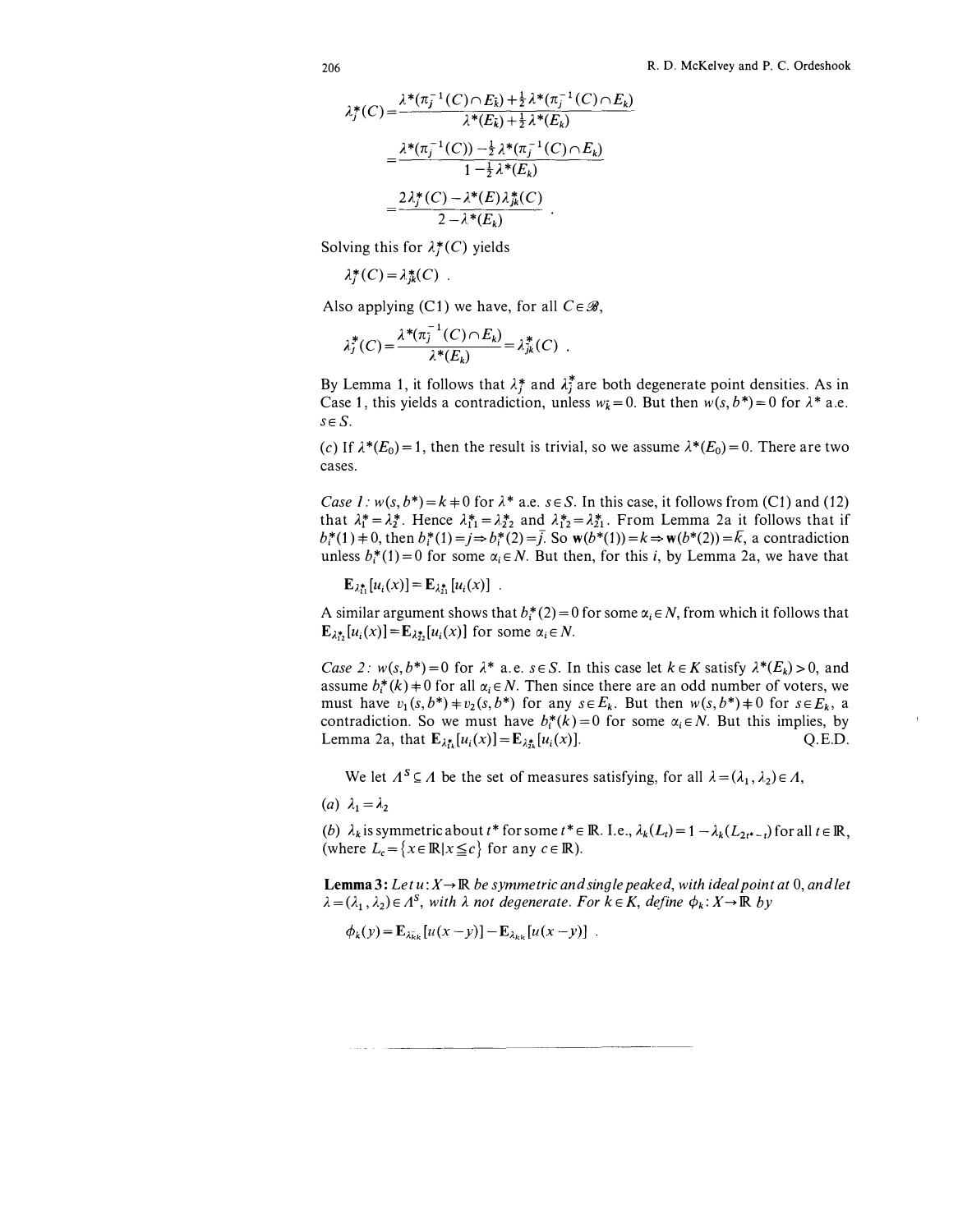$$
\lambda_{j}^{*}(C) = \frac{\lambda^{*}(\pi_{j}^{-1}(C) \cap E_{k}) + \frac{1}{2} \lambda^{*}(\pi_{j}^{-1}(C) \cap E_{k})}{\lambda^{*}(E_{k}) + \frac{1}{2} \lambda^{*}(E_{k})}
$$

$$
= \frac{\lambda^{*}(\pi_{j}^{-1}(C)) - \frac{1}{2} \lambda^{*}(\pi_{j}^{-1}(C) \cap E_{k})}{1 - \frac{1}{2} \lambda^{*}(E_{k})}
$$

$$
= \frac{2 \lambda_{j}^{*}(C) - \lambda^{*}(E) \lambda_{jk}^{*}(C)}{2 - \lambda^{*}(E_{k})}.
$$

Solving this for  $\lambda_i^*(C)$  yields

$$
\lambda_j^*(C) = \lambda_{jk}^*(C) .
$$

Also applying (C1) we have, for all  $C \in \mathcal{B}$ ,

$$
\lambda_j^*(C) = \frac{\lambda^*(\pi_j^{-1}(C) \cap E_k)}{\lambda^*(E_k)} = \lambda_{jk}^*(C) .
$$

By Lemma 1, it follows that  $\lambda_i^*$  and  $\lambda_i^*$  are both degenerate point densities. As in Case 1, this yields a contradiction, unless  $w_k = 0$ . But then  $w(s, b^*) = 0$  for  $\lambda^*$  a.e.  $s \in S$ .

(c) If  $\lambda^*(E_0) = 1$ , then the result is trivial, so we assume  $\lambda^*(E_0) = 0$ . There are two cases.

Case 1:  $w(s, b^*) = k + 0$  for  $\lambda^*$  a.e.  $s \in S$ . In this case, it follows from (C1) and (12) that  $\lambda_1^* = \lambda_2^*$ . Hence  $\lambda_{11}^* = \lambda_{22}^*$  and  $\lambda_{12}^* = \lambda_{21}^*$ . From Lemma 2a it follows that if  $b_i^*(1) = 0$ , then  $b_i^*(1) = j \Rightarrow b_i^*(2) = \bar{j}$ . So  $w(b^*(1)) = k \Rightarrow w(b^*(2)) = \bar{k}$ , a contradiction unless  $b_i^*(1) = 0$  for some  $\alpha_i \in N$ . But then, for this i, by Lemma 2a, we have that

$$
\mathbf{E}_{\lambda_{11}^*}[u_i(x)] = \mathbf{E}_{\lambda_{21}^*}[u_i(x)] \quad .
$$

A similar argument shows that  $b_i^*(2) = 0$  for some  $\alpha_i \in N$ , from which it follows that  $\mathbf{E}_{\lambda_{12}^*}[u_i(x)] = \mathbf{E}_{\lambda_{22}^*}[u_i(x)]$  for some  $\alpha_i \in \mathbb{N}$ .

Case 2:  $w(s, b^*) = 0$  for  $\lambda^*$  a.e.  $s \in S$ . In this case let  $k \in K$  satisfy  $\lambda^*(E_k) > 0$ , and assume  $b_i^*(k)$  + 0 for all  $\alpha_i \in N$ . Then since there are an odd number of voters, we must have  $v_1(s,b^*)+v_2(s,b^*)$  for any  $s \in E_k$ . But then  $w(s,b^*)+0$  for  $s \in E_k$ , a contradiction. So we must have  $b_i^*(k)=0$  for some  $\alpha_i \in N$ . But this implies, by Lemma 2a, that  $E_{\lambda_{i}^{*}}[u_{i}(x)] = E_{\lambda_{i}^{*}}[u_{i}(x)].$  Q.E.D.

We let  $A^S \subseteq A$  be the set of measures satisfying, for all  $\lambda = (\lambda_1, \lambda_2) \in A$ ,

$$
(a) \ \lambda_1 = \lambda_2
$$

(b)  $\lambda_k$  is symmetric about t\* for some t\*  $\in \mathbb{R}$ . I.e.,  $\lambda_k(L_t) = 1 - \lambda_k(L_{2t^*-t})$  for all  $t \in \mathbb{R}$ , (where  $L_c = \{x \in \mathbb{R} | x \le c\}$  for any  $c \in \mathbb{R}$ ).

**Lemma 3:** Let  $u: X \to \mathbb{R}$  be symmetric and single peaked, with ideal point at 0, and let  $\lambda = (\lambda_1, \lambda_2) \in \Lambda^S$ , with  $\lambda$  not degenerate. For  $k \in K$ , define  $\phi_k : X \to \mathbb{R}$  by

$$
\phi_k(y) = \mathbf{E}_{\lambda_{kk}}[u(x-y)] - \mathbf{E}_{\lambda_{kk}}[u(x-y)].
$$

-----------------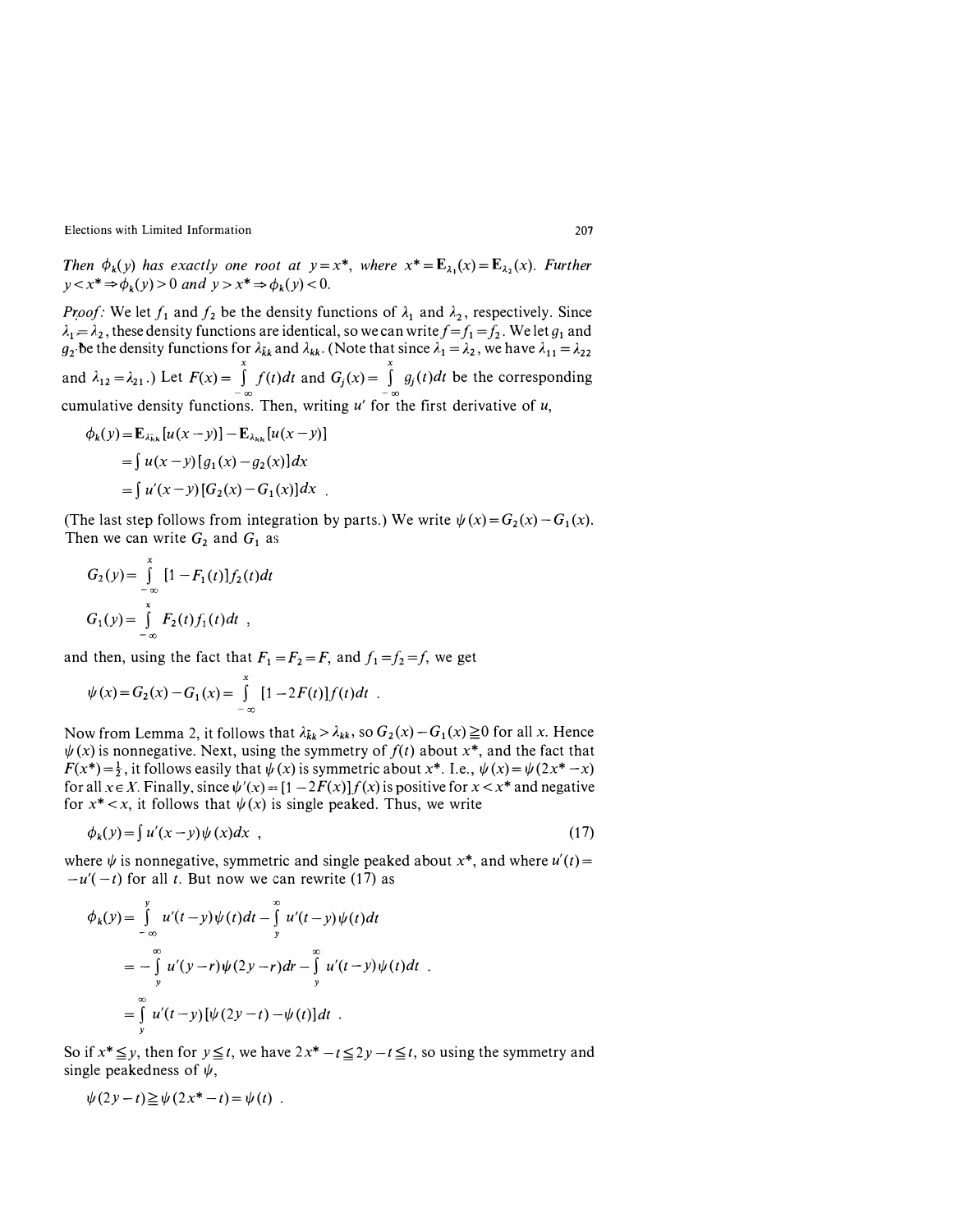Then  $\phi_k(y)$  has exactly one root at  $y=x^*$ , where  $x^*=\mathbf{E}_{\lambda_1}(x)=\mathbf{E}_{\lambda_2}(x)$ . Further  $y < x^* \Rightarrow \phi_k(y) > 0$  and  $y > x^* \Rightarrow \phi_k(y) < 0$ .

*Proof:* We let  $f_1$  and  $f_2$  be the density functions of  $\lambda_1$  and  $\lambda_2$ , respectively. Since  $\lambda_1 = \lambda_2$ , these density functions are identical, so we can write  $f = f_1 = f_2$ . We let  $g_1$  and  $g_2$  be the density functions for  $\lambda_{kk}$  and  $\lambda_{kk}$ . (Note that since  $\lambda_1 = \lambda_2$ , we have  $\lambda_{11} = \lambda_{22}$ and  $\lambda_{12} = \lambda_{21}$ .) Let  $F(x) = \int_{-\infty}^{x} f(t)dt$  and  $G_j(x) = \int_{-\infty}^{x} g_j(t)dt$  be the corresponding

cumulative density functions. Then, writing  $u'$  for the first derivative of  $u$ ,  $\phi_k(y) = \mathbf{E}_{\lambda_k} [u(x - y)] - \mathbf{E}_{\lambda_k} [u(x - y)]$ 

$$
p_k(y) = \mathbf{E}_{\lambda_{kk}}[u(x - y)] - \mathbf{E}_{\lambda_{kk}}[u(x - y)]
$$
  
=  $\int u(x - y)[g_1(x) - g_2(x)]dx$   
=  $\int u'(x - y)[G_2(x) - G_1(x)]dx$ .

(The last step follows from integration by parts.) We write  $\psi(x) = G_2(x) - G_1(x)$ . Then we can write  $G_2$  and  $G_1$  as

$$
G_2(y) = \int_{-\infty}^{x} [1 - F_1(t)] f_2(t) dt
$$
  
\n
$$
G_1(y) = \int_{-\infty}^{x} F_2(t) f_1(t) dt
$$

and then, using the fact that  $F_1 = F_2 = F$ , and  $f_1 = f_2 = f$ , we get

$$
\psi(x) = G_2(x) - G_1(x) = \int_{-\infty}^{x} [1 - 2F(t)] f(t) dt .
$$

Now from Lemma 2, it follows that  $\lambda_{kk} > \lambda_{kk}$ , so  $G_2(x) - G_1(x) \ge 0$  for all x. Hence  $\psi(x)$  is nonnegative. Next, using the symmetry of  $f(t)$  about  $x^*$ , and the fact that  $F(x^*) = \frac{1}{2}$ , it follows easily that  $\psi(x)$  is symmetric about  $x^*$ . I.e.,  $\psi(x) = \psi(2x^* - x)$ for all  $x \in X$ . Finally, since  $\psi'(x) = [1 - 2F(x)]f(x)$  is positive for  $x < x^*$  and negative for  $x^* < x$ , it follows that  $\psi(x)$  is single peaked. Thus, we write

$$
\phi_k(y) = \int u'(x - y)\psi(x)dx \quad , \tag{17}
$$

where  $\psi$  is nonnegative, symmetric and single peaked about x<sup>\*</sup>, and where  $u'(t) =$  $-u'(-t)$  for all t. But now we can rewrite (17) as

$$
\phi_k(y) = \int_{-\infty}^{y} u'(t-y)\psi(t)dt - \int_{y}^{\infty} u'(t-y)\psi(t)dt
$$
  

$$
= -\int_{y}^{\infty} u'(y-r)\psi(2y-r)dr - \int_{y}^{\infty} u'(t-y)\psi(t)dt
$$
  

$$
= \int_{y}^{\infty} u'(t-y)[\psi(2y-t) - \psi(t)]dt.
$$

So if  $x^* \leq y$ , then for  $y \leq t$ , we have  $2x^* - t \leq 2y - t \leq t$ , so using the symmetry and single peakedness of  $\psi$ ,

$$
\psi(2y-t) \geq \psi(2x^* - t) = \psi(t) .
$$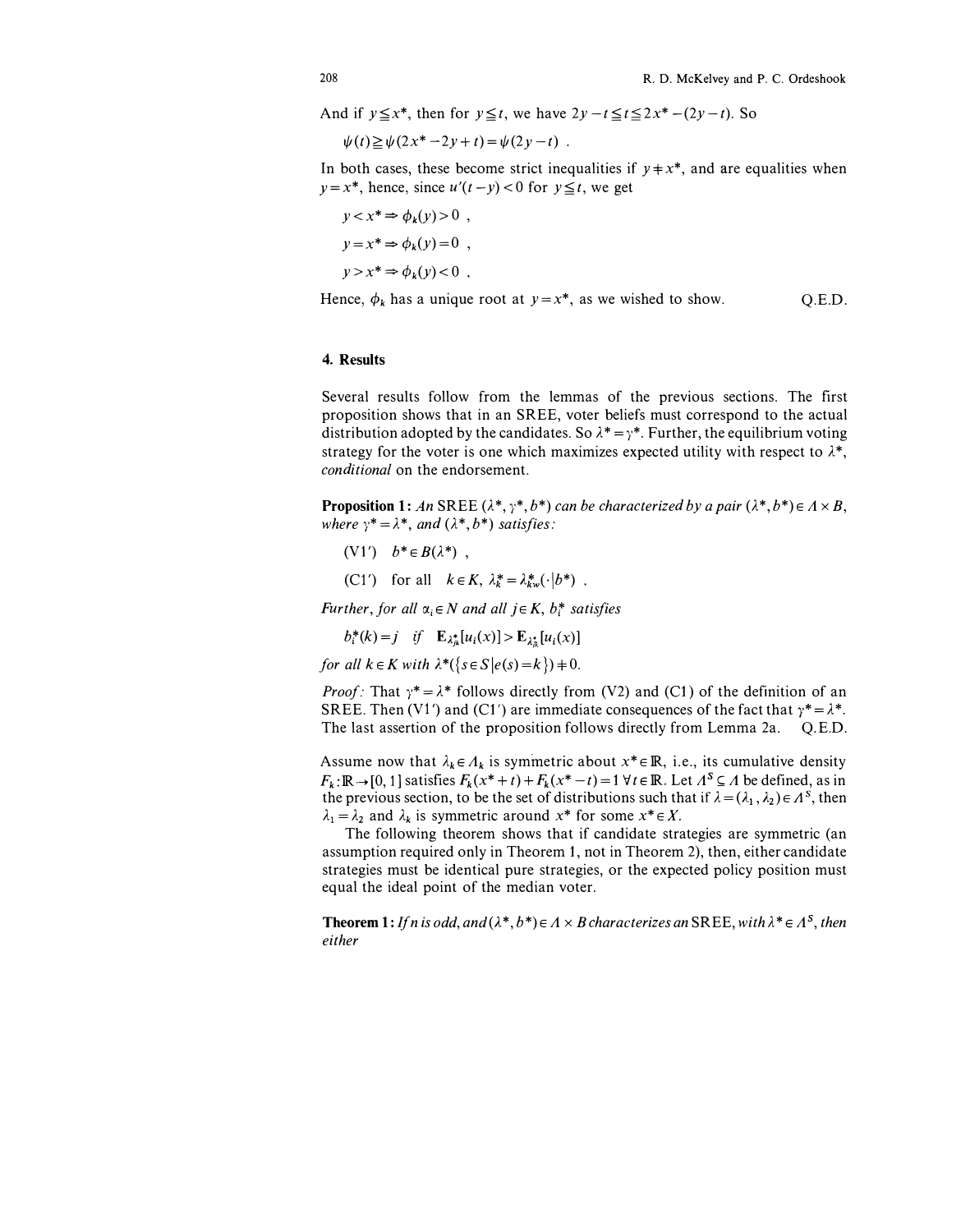And if  $y \le x^*$ , then for  $y \le t$ , we have  $2y-t \le t \le 2x^*-(2y-t)$ . So

$$
\psi(t) \ge \psi(2x^* - 2y + t) = \psi(2y - t) .
$$

In both cases, these become strict inequalities if  $y \neq x^*$ , and are equalities when  $y = x^*$ , hence, since  $u'(t - y) < 0$  for  $y \le t$ , we get

$$
y < x^* \Rightarrow \phi_k(y) > 0 ,
$$
\n
$$
y = x^* \Rightarrow \phi_k(y) = 0 ,
$$
\n
$$
y > x^* \Rightarrow \phi_k(y) < 0 .
$$

Hence,  $\phi_k$  has a unique root at  $y=x^*$ , as we wished to show. Q.E.D.

### 4. Results

Several results follow from the lemmas of the previous sections. The first proposition shows that in an SREE, voter beliefs must correspond to the actual distribution adopted by the candidates. So  $\lambda^* = \gamma^*$ . Further, the equilibrium voting strategy for the voter is one which maximizes expected utility with respect to  $\lambda^*$ , conditional on the endorsement.

**Proposition 1:** An SREE ( $\lambda^*, \gamma^*, b^*$ ) can be characterized by a pair ( $\lambda^*, b^*$ )  $\in$   $\Lambda \times B$ , where  $\gamma^* = \lambda^*$ , and  $(\lambda^*, b^*)$  satisfies:

- (V1')  $b^* \in B(\lambda^*)$ ,
- (C1') for all  $k \in K$ ,  $\lambda_k^* = \lambda_{kw}^* (\cdot | b^*)$ .

Further, for all  $\alpha_i \in N$  and all  $j \in K$ ,  $b_i^*$  satisfies

 $b_i^*(k) = j$  if  $\mathbf{E}_{\lambda_i^*}[u_i(x)] > \mathbf{E}_{\lambda_i^*}[u_i(x)]$ 

for all  $k \in K$  with  $\lambda^*(\{s \in S | e(s) = k\}) \neq 0$ .

*Proof:* That  $\gamma^* = \lambda^*$  follows directly from (V2) and (C1) of the definition of an SREE. Then (V1') and (C1') are immediate consequences of the fact that  $\gamma^* = \lambda^*$ . The last assertion of the proposition follows directly from Lemma 2a. Q.E.D.

Assume now that  $\lambda_k \in A_k$  is symmetric about  $x^* \in \mathbb{R}$ , i.e., its cumulative density  $F_k: \mathbb{R} \to [0, 1]$  satisfies  $F_k(x^*+t) + F_k(x^* - t) = 1 \forall t \in \mathbb{R}$ . Let  $A^S \subseteq A$  be defined, as in the previous section, to be the set of distributions such that if  $\lambda = (\lambda_1, \lambda_2) \in A^S$ , then  $\lambda_1 = \lambda_2$  and  $\lambda_k$  is symmetric around  $x^*$  for some  $x^* \in X$ .

The following theorem shows that if candidate strategies are symmetric (an assumption required only in Theorem 1, not in Theorem 2), then, either candidate strategies must be identical pure strategies, or the expected policy position must equal the ideal point of the median voter.

**Theorem 1:** If n is odd, and  $(\lambda^*, b^*) \in A \times B$  characterizes an SREE, with  $\lambda^* \in A^S$ , then either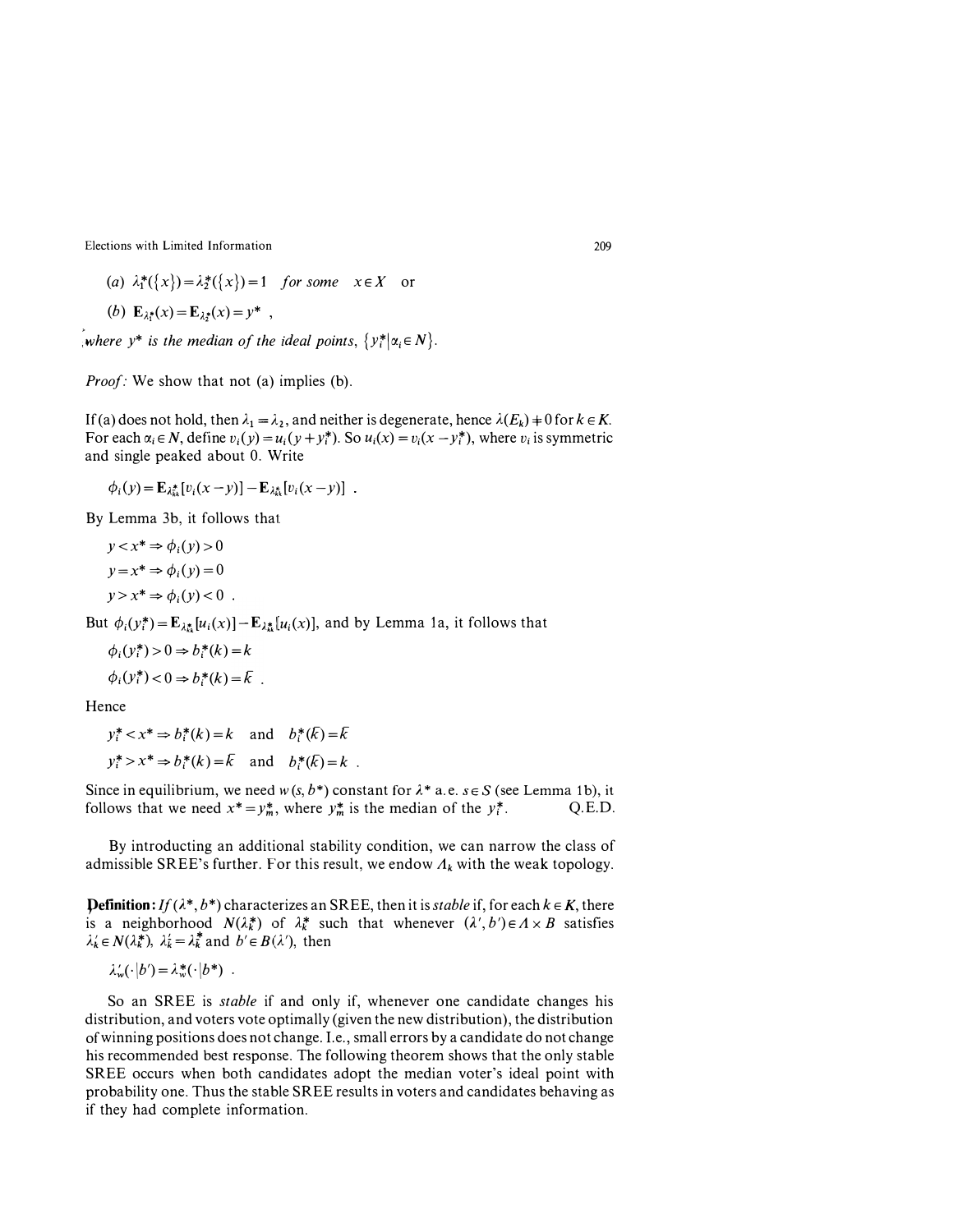(a)  $\lambda_1^*(\{x\}) = \lambda_2^*(\{x\}) = 1$  for some  $x \in X$  or

(b) 
$$
\mathbf{E}_{\lambda_1^*}(x) = \mathbf{E}_{\lambda_2^*}(x) = y^*
$$
,

where  $y^*$  is the median of the ideal points,  $\{y_i^* | \alpha_i \in N\}$ .

*Proof:* We show that not (a) implies (b).

If (a) does not hold, then  $\lambda_1 = \lambda_2$ , and neither is degenerate, hence  $\lambda(E_k) \neq 0$  for  $k \in K$ . For each  $\alpha_i \in N$ , define  $v_i(y) = u_i(y + y_i^*)$ . So  $u_i(x) = v_i(x - y_i^*)$ , where  $v_i$  is symmetric and single peaked about 0. Write

$$
\phi_i(y) = \mathbf{E}_{\lambda_{kk}^*}[v_i(x-y)] - \mathbf{E}_{\lambda_{kk}^*}[v_i(x-y)] .
$$

By Lemma 3b, it follows that

$$
y < x^* \Rightarrow \phi_i(y) > 0
$$
\n
$$
y = x^* \Rightarrow \phi_i(y) = 0
$$
\n
$$
y > x^* \Rightarrow \phi_i(y) < 0
$$

But  $\phi_i(y_i^*) = \mathbf{E}_{\lambda_{ik}^*}[u_i(x)] - \mathbf{E}_{\lambda_{ik}^*}[u_i(x)]$ , and by Lemma 1a, it follows that

$$
\phi_i(y_i^*) > 0 \Rightarrow b_i^*(k) = k
$$
  

$$
\phi_i(y_i^*) < 0 \Rightarrow b_i^*(k) = \overline{k}
$$

Hence

 $y_i^* < x^* \Rightarrow b_i^*(k) = k$  and  $b_i^*(\overline{k}) = \overline{k}$  $y_i^* > x^* \Rightarrow b_i^*(k) = \overline{k}$  and  $b_i^*(\overline{k}) = k$ .

Since in equilibrium, we need  $w(s, b^*)$  constant for  $\lambda^*$  a.e.  $s \in S$  (see Lemma 1b), it follows that we need  $x^* = y_m^*$ , where  $y_m^*$  is the median of the  $y_i^*$ . Q.E.D.

By introducting an additional stability condition, we can narrow the class of admissible SREE's further. For this result, we endow  $\Lambda_k$  with the weak topology.

**Definition:** If ( $\lambda^*, b^*$ ) characterizes an SREE, then it is *stable* if, for each  $k \in K$ , there is a neighborhood  $N(\lambda_k^*)$  of  $\lambda_k^*$  such that whenever  $(\lambda', b') \in A \times B$  satisfies  $\lambda'_k \in N(\lambda^*_k)$ ,  $\lambda'_k = \lambda^*_{k}$  and  $b' \in B(\lambda')$ , then

 $\lambda'_w(\cdot|b') = \lambda^*_w(\cdot|b^*)$ .

So an SREE is stable if and only if, whenever one candidate changes his distribution, and voters vote optimally (given the new distribution), the distribution of winning positions does not change. I.e., small errors by a candidate do not change his recommended best response. The following theorem shows that the only stable SREE occurs when both candidates adopt the median voter's ideal point with probability one. Thus the stable SREE results in voters and candidates behaving as if they had complete information.

209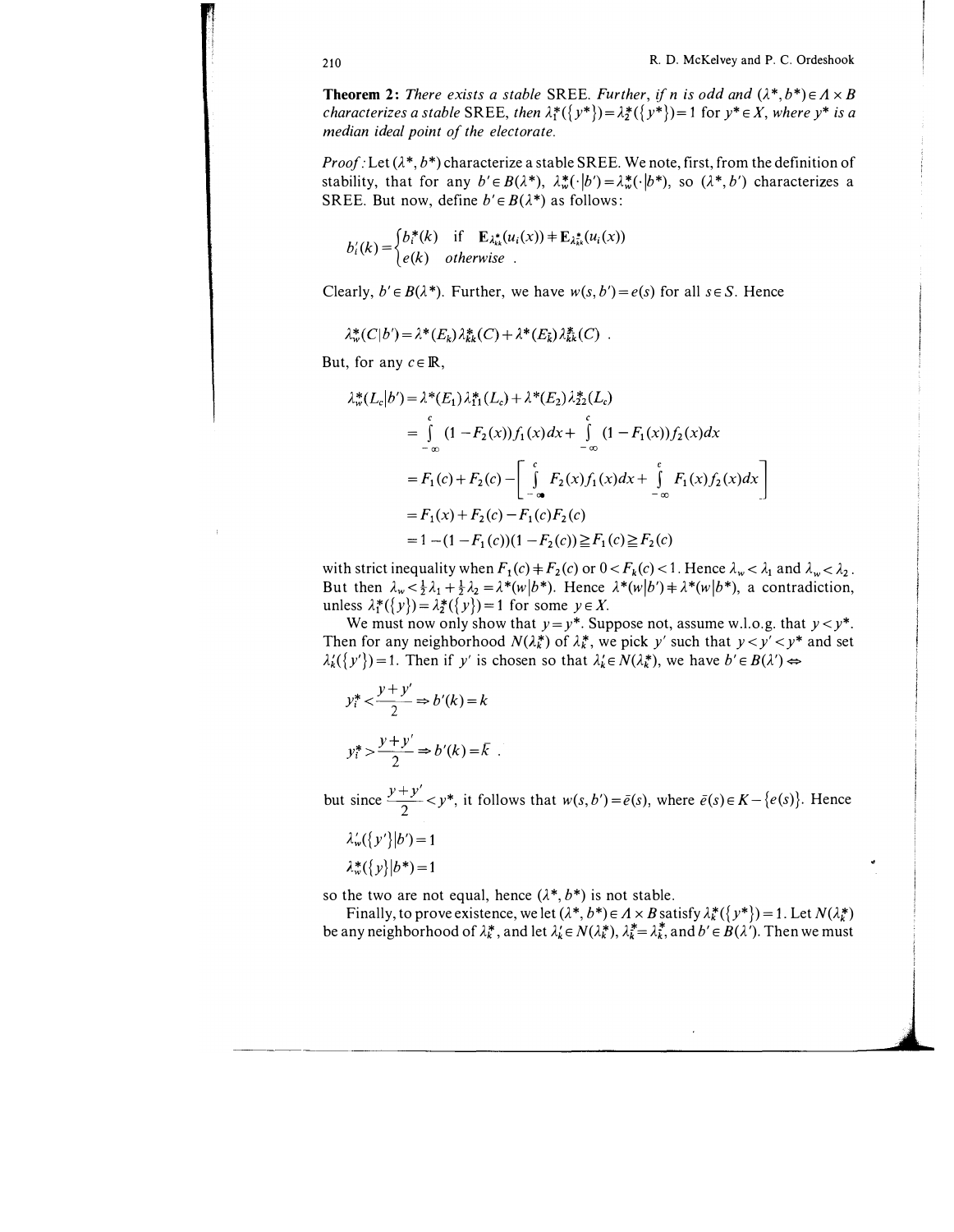**Theorem 2:** There exists a stable SREE. Further, if n is odd and  $(\lambda^*, b^*) \in A \times B$ characterizes a stable SREE, then  $\lambda_1^*(\{y^*\}) = \lambda_2^*(\{y^*\}) = 1$  for  $y^* \in X$ , where  $y^*$  is a median ideal point of the electorate.

*Proof*: Let  $(\lambda^*, b^*)$  characterize a stable SREE. We note, first, from the definition of stability, that for any  $b' \in B(\lambda^*)$ ,  $\lambda^*_{\infty}(\cdot|b') = \lambda^*_{\infty}(\cdot|b^*)$ , so  $(\lambda^*, b')$  characterizes a SREE. But now, define  $b' \in B(\lambda^*)$  as follows:

$$
b'_{i}(k) = \begin{cases} b_{i}^{*}(k) & \text{if } \mathbf{E}_{\lambda_{k}^{*}}(u_{i}(x)) \neq \mathbf{E}_{\lambda_{k}^{*}}(u_{i}(x)) \\ e(k) & otherwise \end{cases}
$$

Clearly,  $b' \in B(\lambda^*)$ . Further, we have  $w(s, b') = e(s)$  for all  $s \in S$ . Hence

 $\lambda^*_{\kappa}(C|b') = \lambda^*(E_k)\lambda^*_{kk}(C) + \lambda^*(E_{\bar{k}})\lambda^*_{kk}(C)$ .

But, for any  $c \in \mathbb{R}$ ,

$$
\lambda_w^*(L_c|b') = \lambda^*(E_1)\lambda_{11}^*(L_c) + \lambda^*(E_2)\lambda_{22}^*(L_c)
$$
  
\n
$$
= \int_{-\infty}^c (1 - F_2(x))f_1(x)dx + \int_{-\infty}^c (1 - F_1(x))f_2(x)dx
$$
  
\n
$$
= F_1(c) + F_2(c) - \left[ \int_{-\infty}^c F_2(x)f_1(x)dx + \int_{-\infty}^c F_1(x)f_2(x)dx \right]
$$
  
\n
$$
= F_1(x) + F_2(c) - F_1(c)F_2(c)
$$
  
\n
$$
= 1 - (1 - F_1(c))(1 - F_2(c)) \ge F_1(c) \ge F_2(c)
$$

with strict inequality when  $F_1(c) + F_2(c)$  or  $0 < F_k(c) < 1$ . Hence  $\lambda_w < \lambda_1$  and  $\lambda_w < \lambda_2$ . But then  $\lambda_w < \frac{1}{2}\lambda_1 + \frac{1}{2}\lambda_2 = \lambda^*(w|b^*)$ . Hence  $\lambda^*(w|b') \neq \lambda^*(w|b^*)$ , a contradiction, unless  $\lambda_1^*(\{y\}) = \lambda_2^*(\{y\}) = 1$  for some  $y \in X$ .

We must now only show that  $y=y^*$ . Suppose not, assume w.l.o.g. that  $y < y^*$ . Then for any neighborhood  $N(\lambda_k^*)$  of  $\lambda_k^*$ , we pick y' such that  $y < y' < y^*$  and set  $\lambda'_k({y'})=1$ . Then if y' is chosen so that  $\lambda'_k \in N(\lambda^*_k)$ , we have  $b' \in B(\lambda') \Leftrightarrow$ 

$$
y_i^* < \frac{y + y'}{2} \Rightarrow b'(k) = k
$$
  

$$
y_i^* > \frac{y + y'}{2} \Rightarrow b'(k) = k
$$

but since  $\frac{y+y'}{2} < y^*$ , it follows that  $w(s, b') = \bar{e}(s)$ , where  $\bar{e}(s) \in K - \{e(s)\}$ . Hence

$$
\lambda_w'(\{y'\}|b') = 1
$$
  

$$
\lambda_w^*(\{y\}|b^*) = 1
$$

so the two are not equal, hence  $(\lambda^*, b^*)$  is not stable.

Finally, to prove existence, we let  $(\lambda^*, b^*) \in A \times B$  satisfy  $\lambda^*_k({y^*}) = 1$ . Let  $N(\lambda^*_k)$ be any neighborhood of  $\lambda_k^*$ , and let  $\lambda_k \in N(\lambda_k^*)$ ,  $\lambda_k^* = \lambda_k^*$ , and  $b' \in B(\lambda')$ . Then we must

\_\_\_\_\_\_\_\_\_\_\_\_ j

'